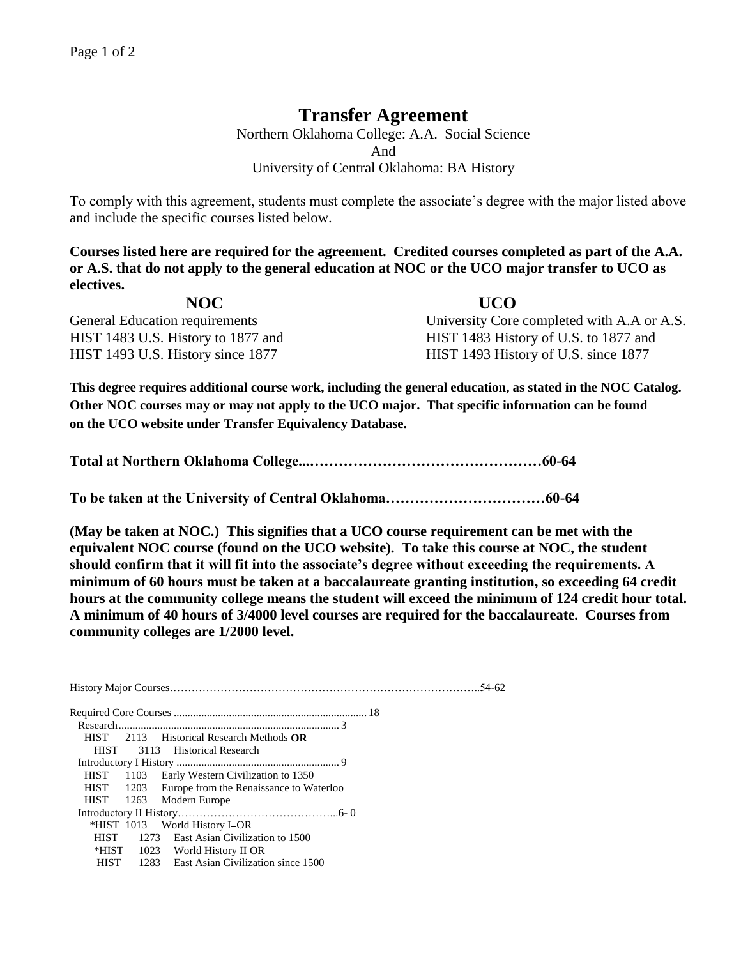## **Transfer Agreement**

Northern Oklahoma College: A.A. Social Science And University of Central Oklahoma: BA History

To comply with this agreement, students must complete the associate's degree with the major listed above and include the specific courses listed below.

**Courses listed here are required for the agreement. Credited courses completed as part of the A.A. or A.S. that do not apply to the general education at NOC or the UCO major transfer to UCO as electives.**

| NOC                                | UCO                                        |
|------------------------------------|--------------------------------------------|
| General Education requirements     | University Core completed with A.A or A.S. |
| HIST 1483 U.S. History to 1877 and | HIST 1483 History of U.S. to 1877 and      |
| HIST 1493 U.S. History since 1877  | HIST 1493 History of U.S. since 1877       |

**This degree requires additional course work, including the general education, as stated in the NOC Catalog. Other NOC courses may or may not apply to the UCO major. That specific information can be found on the UCO website under Transfer Equivalency Database.**

**Total at Northern Oklahoma College...…………………………………………60-64**

**To be taken at the University of Central Oklahoma……………………………60-64**

**(May be taken at NOC.) This signifies that a UCO course requirement can be met with the equivalent NOC course (found on the UCO website). To take this course at NOC, the student should confirm that it will fit into the associate's degree without exceeding the requirements. A minimum of 60 hours must be taken at a baccalaureate granting institution, so exceeding 64 credit hours at the community college means the student will exceed the minimum of 124 credit hour total. A minimum of 40 hours of 3/4000 level courses are required for the baccalaureate. Courses from community colleges are 1/2000 level.**

History Major Courses…………………………………………………………………………..54-62 Required Core Courses ...................................................................... 18 Research................................................................................ 3 HIST 2113 Historical Research Methods **OR** HIST 3113 Historical Research Introductory I History ........................................................... 9 HIST 1103 Early Western Civilization to 1350 HIST 1203 Europe from the Renaissance to Waterloo HIST 1263 Modern Europe Introductory II History……………………………………...6- 0 \*HIST 1013 World History I OR HIST 1273 East Asian Civilization to 1500 \*HIST 1023 World History II OR HIST 1283 East Asian Civilization since 1500